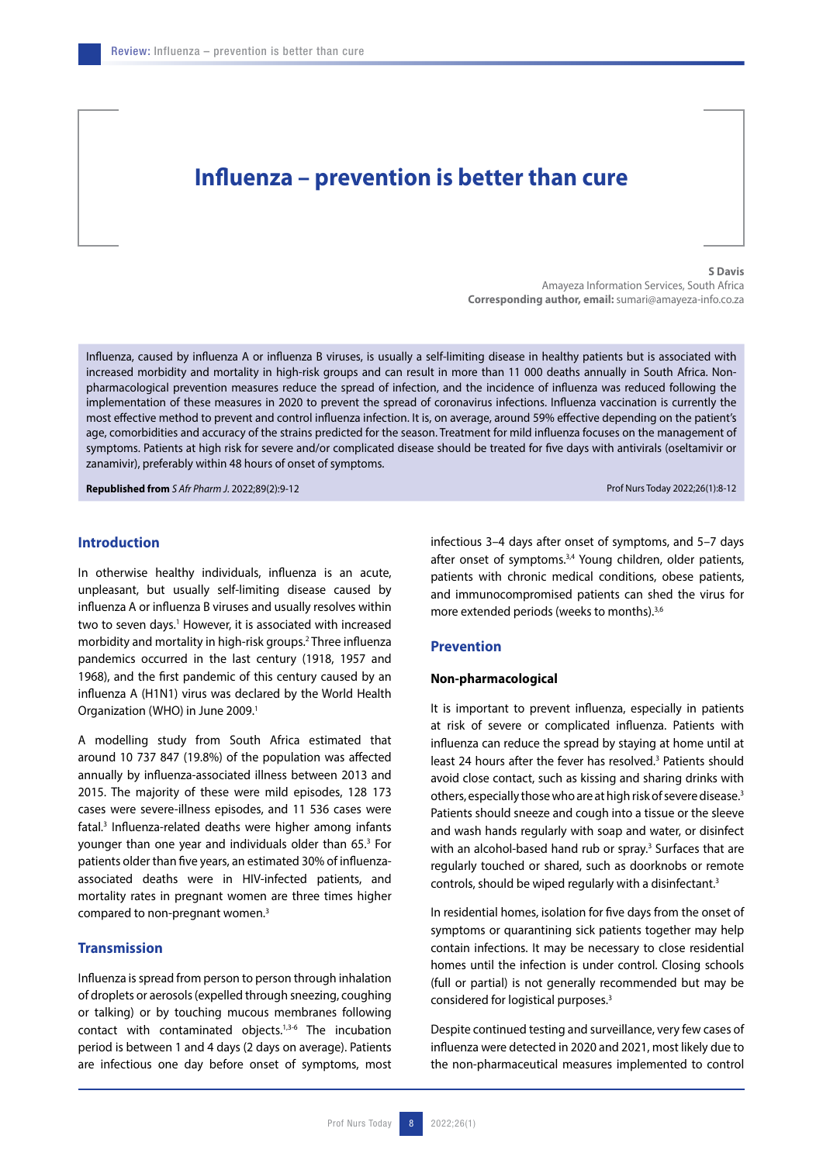# **Influenza – prevention is better than cure**

**S Davis** Amayeza Information Services, South Africa **Corresponding author, email:** sumari@amayeza-info.co.za

Influenza, caused by influenza A or influenza B viruses, is usually a self-limiting disease in healthy patients but is associated with increased morbidity and mortality in high-risk groups and can result in more than 11 000 deaths annually in South Africa. Nonpharmacological prevention measures reduce the spread of infection, and the incidence of influenza was reduced following the implementation of these measures in 2020 to prevent the spread of coronavirus infections. Influenza vaccination is currently the most effective method to prevent and control influenza infection. It is, on average, around 59% effective depending on the patient's age, comorbidities and accuracy of the strains predicted for the season. Treatment for mild influenza focuses on the management of symptoms. Patients at high risk for severe and/or complicated disease should be treated for five days with antivirals (oseltamivir or zanamivir), preferably within 48 hours of onset of symptoms.

**Republished from** *S Afr Pharm J.* 2022;89(2):9-12 Prof Nurs Today 2022;26(1):8-12

## **Introduction**

In otherwise healthy individuals, influenza is an acute, unpleasant, but usually self-limiting disease caused by influenza A or influenza B viruses and usually resolves within two to seven days.<sup>1</sup> However, it is associated with increased morbidity and mortality in high-risk groups.2 Three influenza pandemics occurred in the last century (1918, 1957 and 1968), and the first pandemic of this century caused by an influenza A (H1N1) virus was declared by the World Health Organization (WHO) in June 2009.1

A modelling study from South Africa estimated that around 10 737 847 (19.8%) of the population was affected annually by influenza-associated illness between 2013 and 2015. The majority of these were mild episodes, 128 173 cases were severe-illness episodes, and 11 536 cases were fatal.3 Influenza-related deaths were higher among infants younger than one year and individuals older than 65.<sup>3</sup> For patients older than five years, an estimated 30% of influenzaassociated deaths were in HIV-infected patients, and mortality rates in pregnant women are three times higher compared to non-pregnant women.3

## **Transmission**

Influenza is spread from person to person through inhalation of droplets or aerosols (expelled through sneezing, coughing or talking) or by touching mucous membranes following contact with contaminated objects.<sup>1,3-6</sup> The incubation period is between 1 and 4 days (2 days on average). Patients are infectious one day before onset of symptoms, most infectious 3–4 days after onset of symptoms, and 5–7 days after onset of symptoms.<sup>3,4</sup> Young children, older patients, patients with chronic medical conditions, obese patients, and immunocompromised patients can shed the virus for more extended periods (weeks to months).<sup>3,6</sup>

#### **Prevention**

#### **Non-pharmacological**

It is important to prevent influenza, especially in patients at risk of severe or complicated influenza. Patients with influenza can reduce the spread by staying at home until at least 24 hours after the fever has resolved.<sup>3</sup> Patients should avoid close contact, such as kissing and sharing drinks with others, especially those who are at high risk of severe disease.3 Patients should sneeze and cough into a tissue or the sleeve and wash hands regularly with soap and water, or disinfect with an alcohol-based hand rub or spray.<sup>3</sup> Surfaces that are regularly touched or shared, such as doorknobs or remote controls, should be wiped regularly with a disinfectant.<sup>3</sup>

In residential homes, isolation for five days from the onset of symptoms or quarantining sick patients together may help contain infections. It may be necessary to close residential homes until the infection is under control. Closing schools (full or partial) is not generally recommended but may be considered for logistical purposes.3

Despite continued testing and surveillance, very few cases of influenza were detected in 2020 and 2021, most likely due to the non-pharmaceutical measures implemented to control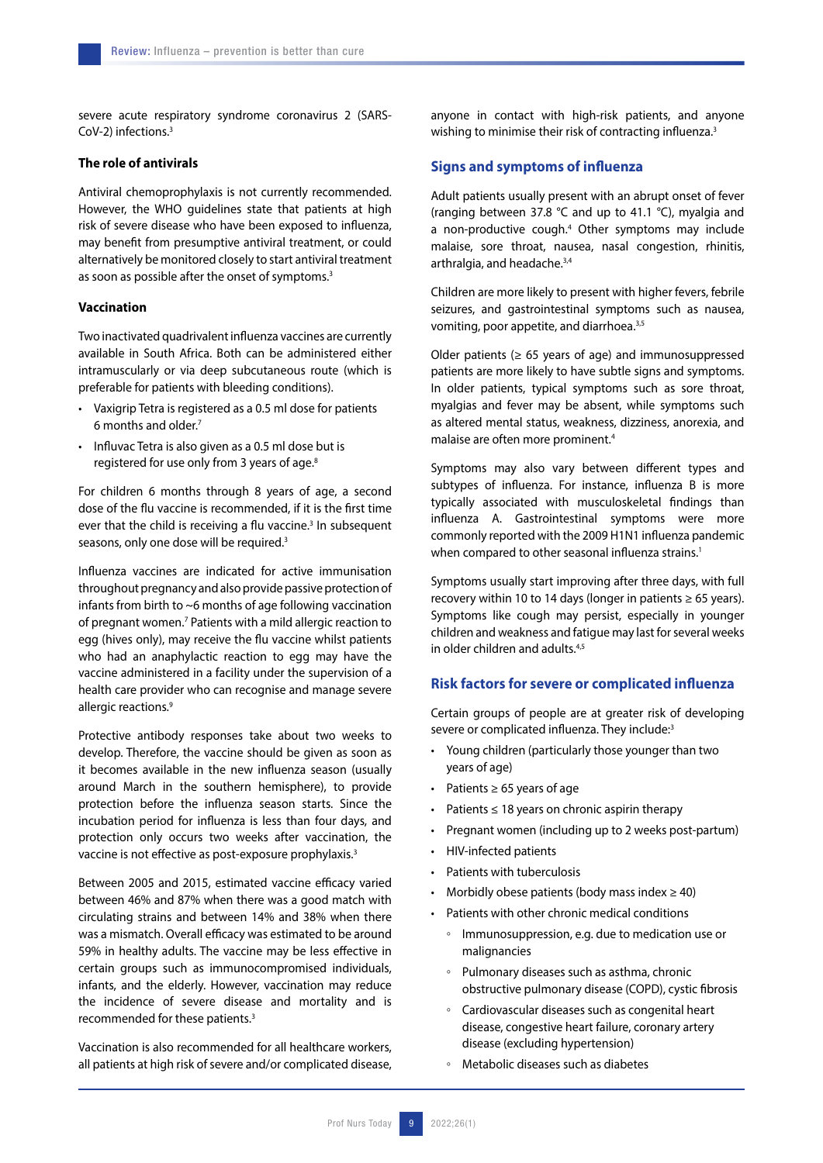severe acute respiratory syndrome coronavirus 2 (SARS-CoV-2) infections.3

## **The role of antivirals**

Antiviral chemoprophylaxis is not currently recommended. However, the WHO guidelines state that patients at high risk of severe disease who have been exposed to influenza, may benefit from presumptive antiviral treatment, or could alternatively be monitored closely to start antiviral treatment as soon as possible after the onset of symptoms.<sup>3</sup>

#### **Vaccination**

Two inactivated quadrivalent influenza vaccines are currently available in South Africa. Both can be administered either intramuscularly or via deep subcutaneous route (which is preferable for patients with bleeding conditions).

- Vaxigrip Tetra is registered as a 0.5 ml dose for patients 6 months and older.7
- Influvac Tetra is also given as a 0.5 ml dose but is registered for use only from 3 years of age.<sup>8</sup>

For children 6 months through 8 years of age, a second dose of the flu vaccine is recommended, if it is the first time ever that the child is receiving a flu vaccine.<sup>3</sup> In subsequent seasons, only one dose will be required.<sup>3</sup>

Influenza vaccines are indicated for active immunisation throughout pregnancy and also provide passive protection of infants from birth to ~6 months of age following vaccination of pregnant women.<sup>7</sup> Patients with a mild allergic reaction to egg (hives only), may receive the flu vaccine whilst patients who had an anaphylactic reaction to egg may have the vaccine administered in a facility under the supervision of a health care provider who can recognise and manage severe allergic reactions.<sup>9</sup>

Protective antibody responses take about two weeks to develop. Therefore, the vaccine should be given as soon as it becomes available in the new influenza season (usually around March in the southern hemisphere), to provide protection before the influenza season starts. Since the incubation period for influenza is less than four days, and protection only occurs two weeks after vaccination, the vaccine is not effective as post-exposure prophylaxis.<sup>3</sup>

Between 2005 and 2015, estimated vaccine efficacy varied between 46% and 87% when there was a good match with circulating strains and between 14% and 38% when there was a mismatch. Overall efficacy was estimated to be around 59% in healthy adults. The vaccine may be less effective in certain groups such as immunocompromised individuals, infants, and the elderly. However, vaccination may reduce the incidence of severe disease and mortality and is recommended for these patients.3

Vaccination is also recommended for all healthcare workers, all patients at high risk of severe and/or complicated disease, anyone in contact with high-risk patients, and anyone wishing to minimise their risk of contracting influenza.<sup>3</sup>

## **Signs and symptoms of influenza**

Adult patients usually present with an abrupt onset of fever (ranging between 37.8 °C and up to 41.1 °C), myalgia and a non-productive cough.<sup>4</sup> Other symptoms may include malaise, sore throat, nausea, nasal congestion, rhinitis, arthralgia, and headache.<sup>3,4</sup>

Children are more likely to present with higher fevers, febrile seizures, and gastrointestinal symptoms such as nausea, vomiting, poor appetite, and diarrhoea.3,5

Older patients ( $\geq 65$  years of age) and immunosuppressed patients are more likely to have subtle signs and symptoms. In older patients, typical symptoms such as sore throat, myalgias and fever may be absent, while symptoms such as altered mental status, weakness, dizziness, anorexia, and malaise are often more prominent.4

Symptoms may also vary between different types and subtypes of influenza. For instance, influenza B is more typically associated with musculoskeletal findings than influenza A. Gastrointestinal symptoms were more commonly reported with the 2009 H1N1 influenza pandemic when compared to other seasonal influenza strains.<sup>1</sup>

Symptoms usually start improving after three days, with full recovery within 10 to 14 days (longer in patients  $\geq 65$  years). Symptoms like cough may persist, especially in younger children and weakness and fatigue may last for several weeks in older children and adults  $4,5$ 

## **Risk factors for severe or complicated influenza**

Certain groups of people are at greater risk of developing severe or complicated influenza. They include:3

- Young children (particularly those younger than two years of age)
- Patients  $\geq 65$  years of age
- Patients ≤ 18 years on chronic aspirin therapy
- Pregnant women (including up to 2 weeks post-partum)
- HIV-infected patients
- Patients with tuberculosis
- Morbidly obese patients (body mass index  $\geq$  40)
- Patients with other chronic medical conditions
	- Immunosuppression, e.g. due to medication use or malignancies
	- Pulmonary diseases such as asthma, chronic obstructive pulmonary disease (COPD), cystic fibrosis
	- Cardiovascular diseases such as congenital heart disease, congestive heart failure, coronary artery disease (excluding hypertension)
	- Metabolic diseases such as diabetes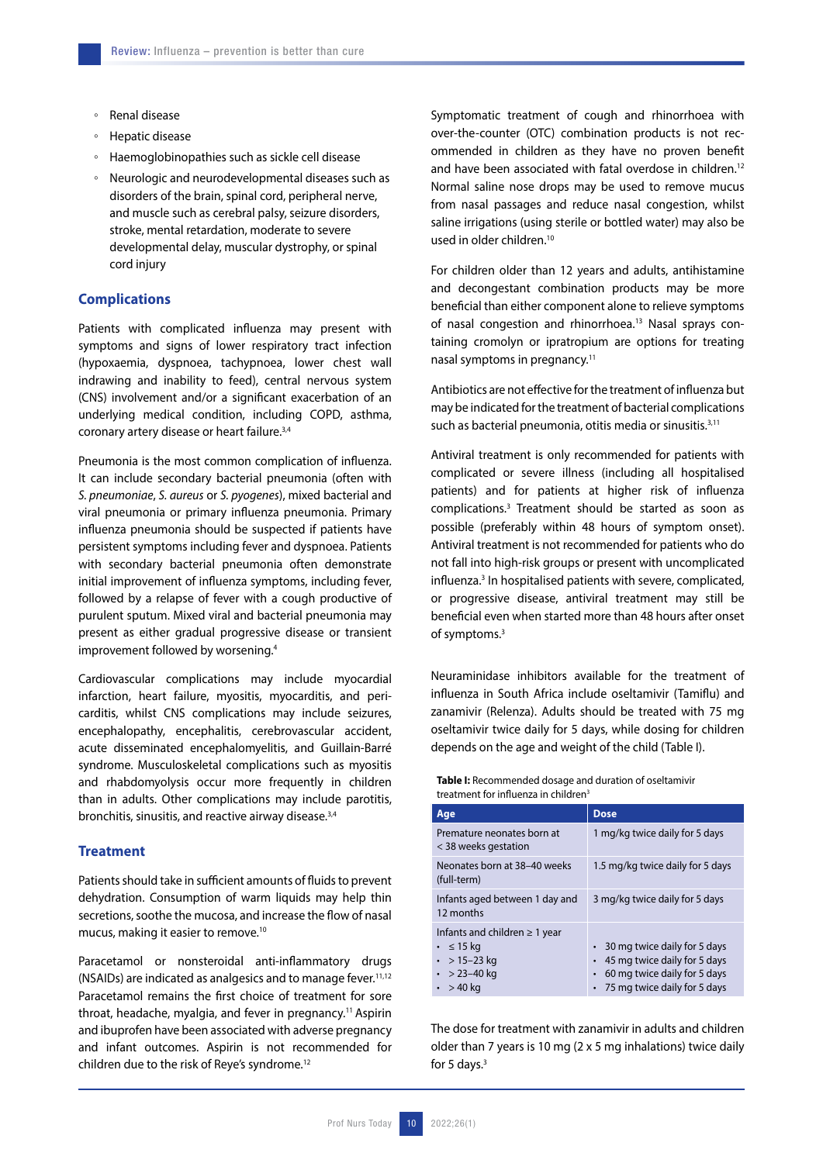- Renal disease
- Hepatic disease
- Haemoglobinopathies such as sickle cell disease
- Neurologic and neurodevelopmental diseases such as disorders of the brain, spinal cord, peripheral nerve, and muscle such as cerebral palsy, seizure disorders, stroke, mental retardation, moderate to severe developmental delay, muscular dystrophy, or spinal cord injury

#### **Complications**

Patients with complicated influenza may present with symptoms and signs of lower respiratory tract infection (hypoxaemia, dyspnoea, tachypnoea, lower chest wall indrawing and inability to feed), central nervous system (CNS) involvement and/or a significant exacerbation of an underlying medical condition, including COPD, asthma, coronary artery disease or heart failure.<sup>3,4</sup>

Pneumonia is the most common complication of influenza. It can include secondary bacterial pneumonia (often with *S. pneumoniae*, *S. aureus* or *S. pyogenes*), mixed bacterial and viral pneumonia or primary influenza pneumonia. Primary influenza pneumonia should be suspected if patients have persistent symptoms including fever and dyspnoea. Patients with secondary bacterial pneumonia often demonstrate initial improvement of influenza symptoms, including fever, followed by a relapse of fever with a cough productive of purulent sputum. Mixed viral and bacterial pneumonia may present as either gradual progressive disease or transient improvement followed by worsening.4

Cardiovascular complications may include myocardial infarction, heart failure, myositis, myocarditis, and pericarditis, whilst CNS complications may include seizures, encephalopathy, encephalitis, cerebrovascular accident, acute disseminated encephalomyelitis, and Guillain-Barré syndrome. Musculoskeletal complications such as myositis and rhabdomyolysis occur more frequently in children than in adults. Other complications may include parotitis, bronchitis, sinusitis, and reactive airway disease.<sup>3,4</sup>

## **Treatment**

Patients should take in sufficient amounts of fluids to prevent dehydration. Consumption of warm liquids may help thin secretions, soothe the mucosa, and increase the flow of nasal mucus, making it easier to remove.10

Paracetamol or nonsteroidal anti-inflammatory drugs (NSAIDs) are indicated as analgesics and to manage fever.11,12 Paracetamol remains the first choice of treatment for sore throat, headache, myalgia, and fever in pregnancy.<sup>11</sup> Aspirin and ibuprofen have been associated with adverse pregnancy and infant outcomes. Aspirin is not recommended for children due to the risk of Reye's syndrome.12

Symptomatic treatment of cough and rhinorrhoea with over-the-counter (OTC) combination products is not recommended in children as they have no proven benefit and have been associated with fatal overdose in children.<sup>12</sup> Normal saline nose drops may be used to remove mucus from nasal passages and reduce nasal congestion, whilst saline irrigations (using sterile or bottled water) may also be used in older children.10

For children older than 12 years and adults, antihistamine and decongestant combination products may be more beneficial than either component alone to relieve symptoms of nasal congestion and rhinorrhoea.<sup>13</sup> Nasal sprays containing cromolyn or ipratropium are options for treating nasal symptoms in pregnancy.11

Antibiotics are not effective for the treatment of influenza but may be indicated for the treatment of bacterial complications such as bacterial pneumonia, otitis media or sinusitis.<sup>3,11</sup>

Antiviral treatment is only recommended for patients with complicated or severe illness (including all hospitalised patients) and for patients at higher risk of influenza complications.3 Treatment should be started as soon as possible (preferably within 48 hours of symptom onset). Antiviral treatment is not recommended for patients who do not fall into high-risk groups or present with uncomplicated influenza.<sup>3</sup> In hospitalised patients with severe, complicated, or progressive disease, antiviral treatment may still be beneficial even when started more than 48 hours after onset of symptoms.3

Neuraminidase inhibitors available for the treatment of influenza in South Africa include oseltamivir (Tamiflu) and zanamivir (Relenza). Adults should be treated with 75 mg oseltamivir twice daily for 5 days, while dosing for children depends on the age and weight of the child (Table I).

**Table I:** Recommended dosage and duration of oseltamivir treatment for influenza in children<sup>3</sup>

| Age                                                                                                          | <b>Dose</b>                                                                                                                    |
|--------------------------------------------------------------------------------------------------------------|--------------------------------------------------------------------------------------------------------------------------------|
| Premature neonates born at<br>< 38 weeks gestation                                                           | 1 mg/kg twice daily for 5 days                                                                                                 |
| Neonates born at 38-40 weeks<br>(full-term)                                                                  | 1.5 mg/kg twice daily for 5 days                                                                                               |
| Infants aged between 1 day and<br>12 months                                                                  | 3 mg/kg twice daily for 5 days                                                                                                 |
| Infants and children $\geq 1$ year<br>$\cdot$ $\leq$ 15 kg<br>• > 15-23 kg<br>$\cdot$ > 23-40 kg<br>$>40$ kg | • 30 mg twice daily for 5 days<br>45 mg twice daily for 5 days<br>60 mg twice daily for 5 days<br>75 mg twice daily for 5 days |

The dose for treatment with zanamivir in adults and children older than 7 years is 10 mg (2 x 5 mg inhalations) twice daily for 5 days. $3$